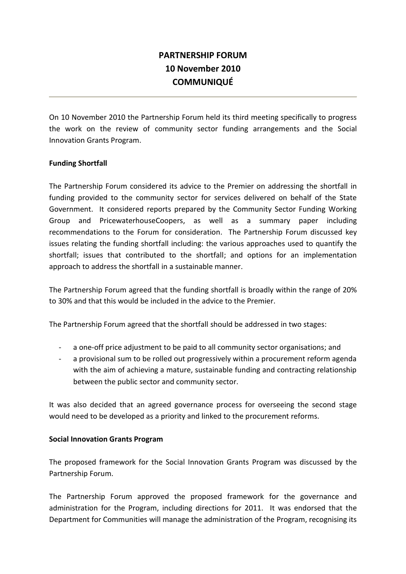# **PARTNERSHIP FORUM 10 November 2010 COMMUNIQUÉ**

On 10 November 2010 the Partnership Forum held its third meeting specifically to progress the work on the review of community sector funding arrangements and the Social Innovation Grants Program.

## **Funding Shortfall**

The Partnership Forum considered its advice to the Premier on addressing the shortfall in funding provided to the community sector for services delivered on behalf of the State Government. It considered reports prepared by the Community Sector Funding Working Group and PricewaterhouseCoopers, as well as a summary paper including recommendations to the Forum for consideration. The Partnership Forum discussed key issues relating the funding shortfall including: the various approaches used to quantify the shortfall; issues that contributed to the shortfall; and options for an implementation approach to address the shortfall in a sustainable manner.

The Partnership Forum agreed that the funding shortfall is broadly within the range of 20% to 30% and that this would be included in the advice to the Premier.

The Partnership Forum agreed that the shortfall should be addressed in two stages:

- a one-off price adjustment to be paid to all community sector organisations; and
- a provisional sum to be rolled out progressively within a procurement reform agenda with the aim of achieving a mature, sustainable funding and contracting relationship between the public sector and community sector.

It was also decided that an agreed governance process for overseeing the second stage would need to be developed as a priority and linked to the procurement reforms.

#### **Social Innovation Grants Program**

The proposed framework for the Social Innovation Grants Program was discussed by the Partnership Forum.

The Partnership Forum approved the proposed framework for the governance and administration for the Program, including directions for 2011. It was endorsed that the Department for Communities will manage the administration of the Program, recognising its